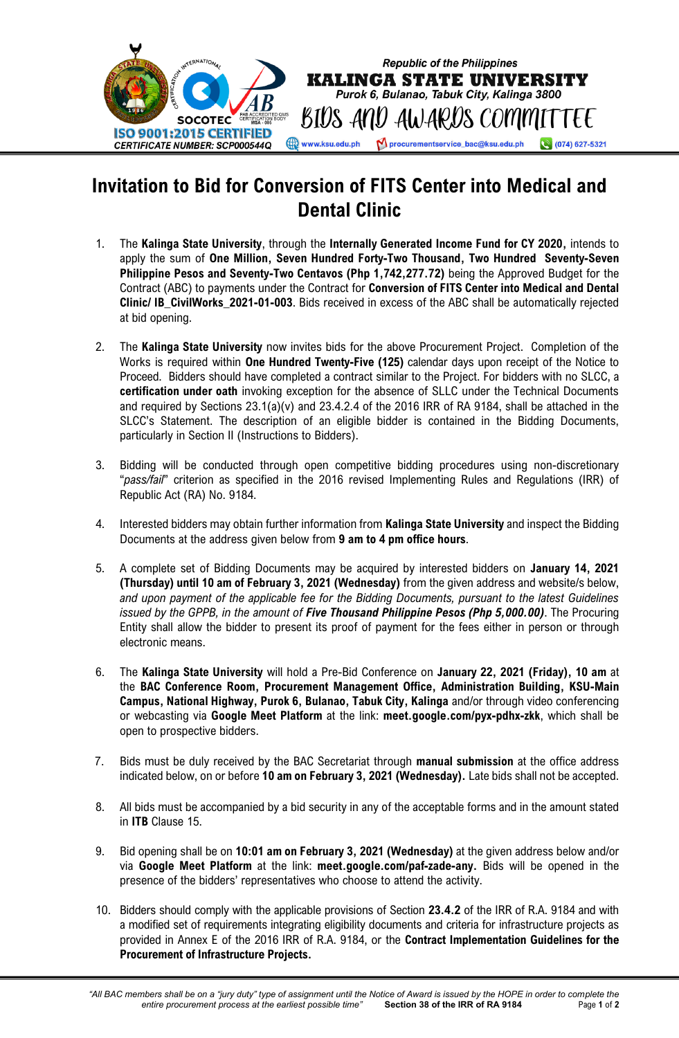

## **Invitation to Bid for Conversion of FITS Center into Medical and Dental Clinic**

- 1. The **Kalinga State University**, through the **Internally Generated Income Fund for CY 2020,** intends to apply the sum of **One Million, Seven Hundred Forty-Two Thousand, Two Hundred Seventy-Seven Philippine Pesos and Seventy-Two Centavos (Php 1,742,277.72)** being the Approved Budget for the Contract (ABC) to payments under the Contract for **Conversion of FITS Center into Medical and Dental Clinic/ IB\_CivilWorks\_2021-01-003**. Bids received in excess of the ABC shall be automatically rejected at bid opening.
- 2. The **Kalinga State University** now invites bids for the above Procurement Project. Completion of the Works is required within **One Hundred Twenty-Five (125)** calendar days upon receipt of the Notice to Proceed. Bidders should have completed a contract similar to the Project. For bidders with no SLCC, a **certification under oath** invoking exception for the absence of SLLC under the Technical Documents and required by Sections 23.1(a)(v) and 23.4.2.4 of the 2016 IRR of RA 9184, shall be attached in the SLCC's Statement. The description of an eligible bidder is contained in the Bidding Documents, particularly in Section II (Instructions to Bidders).
- 3. Bidding will be conducted through open competitive bidding procedures using non-discretionary "*pass/fail*" criterion as specified in the 2016 revised Implementing Rules and Regulations (IRR) of Republic Act (RA) No. 9184.
- 4. Interested bidders may obtain further information from **Kalinga State University** and inspect the Bidding Documents at the address given below from **9 am to 4 pm office hours**.
- 5. A complete set of Bidding Documents may be acquired by interested bidders on **January 14, 2021 (Thursday) until 10 am of February 3, 2021 (Wednesday)** from the given address and website/s below, *and upon payment of the applicable fee for the Bidding Documents, pursuant to the latest Guidelines issued by the GPPB, in the amount of Five Thousand Philippine Pesos (Php 5,000.00)*. The Procuring Entity shall allow the bidder to present its proof of payment for the fees either in person or through electronic means.
- 6. The **Kalinga State University** will hold a Pre-Bid Conference on **January 22, 2021 (Friday), 10 am** at the **BAC Conference Room, Procurement Management Office, Administration Building, KSU-Main Campus, National Highway, Purok 6, Bulanao, Tabuk City, Kalinga** and/or through video conferencing or webcasting via **Google Meet Platform** at the link: **meet.google.com/pyx-pdhx-zkk**, which shall be open to prospective bidders.
- 7. Bids must be duly received by the BAC Secretariat through **manual submission** at the office address indicated below, on or before **10 am on February 3, 2021 (Wednesday).** Late bids shall not be accepted.
- 8. All bids must be accompanied by a bid security in any of the acceptable forms and in the amount stated in **ITB** Clause 15.
- 9. Bid opening shall be on **10:01 am on February 3, 2021 (Wednesday)** at the given address below and/or via **Google Meet Platform** at the link: **meet.google.com/paf-zade-any.** Bids will be opened in the presence of the bidders' representatives who choose to attend the activity.
- 10. Bidders should comply with the applicable provisions of Section **23.4.2** of the IRR of R.A. 9184 and with a modified set of requirements integrating eligibility documents and criteria for infrastructure projects as provided in Annex E of the 2016 IRR of R.A. 9184, or the **Contract Implementation Guidelines for the Procurement of Infrastructure Projects.**